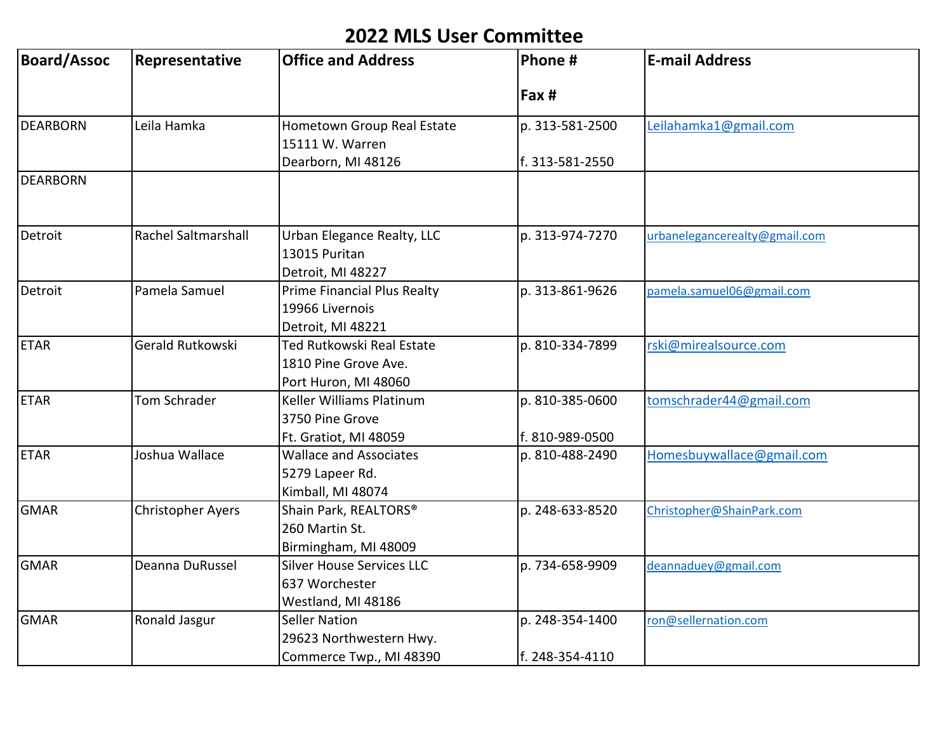## **2022 MLS User Committee**

| <b>Board/Assoc</b> | Representative           | <b>Office and Address</b>                                                 | Phone #                            | <b>E-mail Address</b>         |
|--------------------|--------------------------|---------------------------------------------------------------------------|------------------------------------|-------------------------------|
|                    |                          |                                                                           | Fax #                              |                               |
| <b>DEARBORN</b>    | Leila Hamka              | Hometown Group Real Estate<br>15111 W. Warren                             | p. 313-581-2500                    | Leilahamka1@gmail.com         |
|                    |                          | Dearborn, MI 48126                                                        | f. 313-581-2550                    |                               |
| <b>DEARBORN</b>    |                          |                                                                           |                                    |                               |
| Detroit            | Rachel Saltmarshall      | Urban Elegance Realty, LLC<br>13015 Puritan<br>Detroit, MI 48227          | p. 313-974-7270                    | urbanelegancerealty@gmail.com |
| Detroit            | Pamela Samuel            | Prime Financial Plus Realty<br>19966 Livernois<br>Detroit, MI 48221       | p. 313-861-9626                    | pamela.samuel06@gmail.com     |
| <b>ETAR</b>        | Gerald Rutkowski         | Ted Rutkowski Real Estate<br>1810 Pine Grove Ave.<br>Port Huron, MI 48060 | p. 810-334-7899                    | rski@mirealsource.com         |
| <b>ETAR</b>        | Tom Schrader             | Keller Williams Platinum<br>3750 Pine Grove<br>Ft. Gratiot, MI 48059      | p. 810-385-0600<br>f. 810-989-0500 | tomschrader44@gmail.com       |
| <b>ETAR</b>        | Joshua Wallace           | <b>Wallace and Associates</b><br>5279 Lapeer Rd.<br>Kimball, MI 48074     | p. 810-488-2490                    | Homesbuywallace@gmail.com     |
| <b>GMAR</b>        | <b>Christopher Ayers</b> | Shain Park, REALTORS®<br>260 Martin St.<br>Birmingham, MI 48009           | p. 248-633-8520                    | Christopher@ShainPark.com     |
| <b>GMAR</b>        | Deanna DuRussel          | <b>Silver House Services LLC</b><br>637 Worchester<br>Westland, MI 48186  | p. 734-658-9909                    | deannaduey@gmail.com          |
| <b>GMAR</b>        | Ronald Jasgur            | <b>Seller Nation</b><br>29623 Northwestern Hwy.                           | p. 248-354-1400                    | ron@sellernation.com          |
|                    |                          | Commerce Twp., MI 48390                                                   | f. 248-354-4110                    |                               |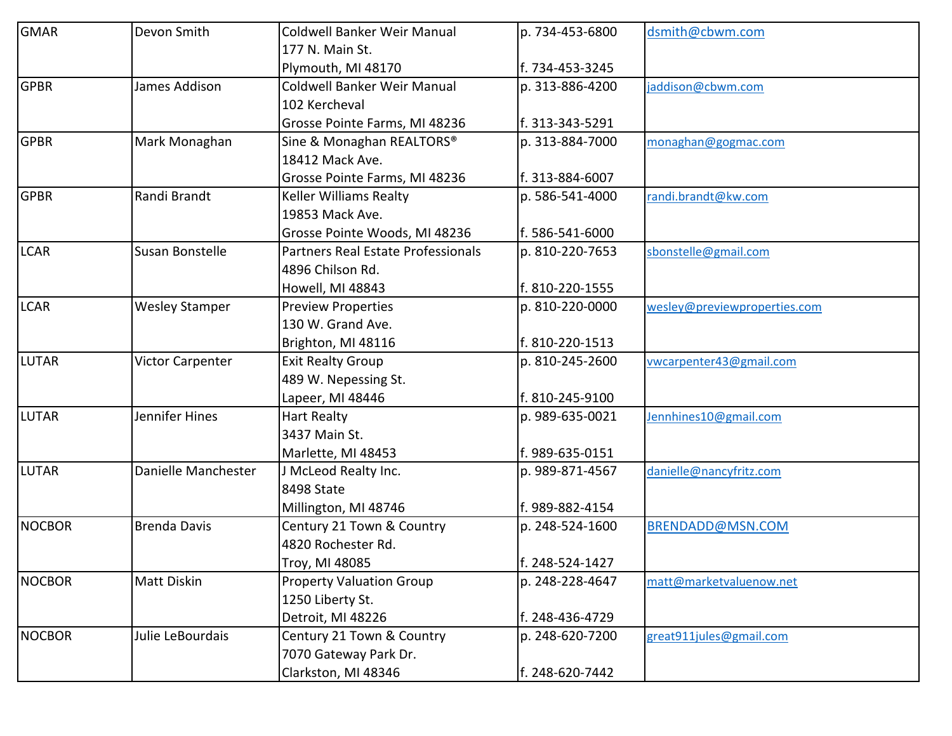| <b>GMAR</b>   | Devon Smith             | Coldwell Banker Weir Manual           | p. 734-453-6800 | dsmith@cbwm.com              |
|---------------|-------------------------|---------------------------------------|-----------------|------------------------------|
|               |                         | 177 N. Main St.                       |                 |                              |
|               |                         | Plymouth, MI 48170                    | f. 734-453-3245 |                              |
| <b>GPBR</b>   | James Addison           | Coldwell Banker Weir Manual           | p. 313-886-4200 | jaddison@cbwm.com            |
|               |                         | 102 Kercheval                         |                 |                              |
|               |                         | Grosse Pointe Farms, MI 48236         | f. 313-343-5291 |                              |
| <b>GPBR</b>   | Mark Monaghan           | Sine & Monaghan REALTORS <sup>®</sup> | p. 313-884-7000 | monaghan@gogmac.com          |
|               |                         | 18412 Mack Ave.                       |                 |                              |
|               |                         | Grosse Pointe Farms, MI 48236         | f. 313-884-6007 |                              |
| <b>GPBR</b>   | Randi Brandt            | Keller Williams Realty                | p. 586-541-4000 | randi.brandt@kw.com          |
|               |                         | 19853 Mack Ave.                       |                 |                              |
|               |                         | Grosse Pointe Woods, MI 48236         | f. 586-541-6000 |                              |
| <b>LCAR</b>   | Susan Bonstelle         | Partners Real Estate Professionals    | p. 810-220-7653 | sbonstelle@gmail.com         |
|               |                         | 4896 Chilson Rd.                      |                 |                              |
|               |                         | Howell, MI 48843                      | f. 810-220-1555 |                              |
| <b>LCAR</b>   | <b>Wesley Stamper</b>   | <b>Preview Properties</b>             | p. 810-220-0000 | wesley@previewproperties.com |
|               |                         | 130 W. Grand Ave.                     |                 |                              |
|               |                         | Brighton, MI 48116                    | f. 810-220-1513 |                              |
| <b>LUTAR</b>  | <b>Victor Carpenter</b> | <b>Exit Realty Group</b>              | p. 810-245-2600 | vwcarpenter43@gmail.com      |
|               |                         | 489 W. Nepessing St.                  |                 |                              |
|               |                         | Lapeer, MI 48446                      | f. 810-245-9100 |                              |
| <b>LUTAR</b>  | Jennifer Hines          | <b>Hart Realty</b>                    | p. 989-635-0021 | Jennhines10@gmail.com        |
|               |                         | 3437 Main St.                         |                 |                              |
|               |                         | Marlette, MI 48453                    | f. 989-635-0151 |                              |
| <b>LUTAR</b>  | Danielle Manchester     | J McLeod Realty Inc.                  | p. 989-871-4567 | danielle@nancyfritz.com      |
|               |                         | 8498 State                            |                 |                              |
|               |                         | Millington, MI 48746                  | f. 989-882-4154 |                              |
| <b>NOCBOR</b> | <b>Brenda Davis</b>     | Century 21 Town & Country             | p. 248-524-1600 | BRENDADD@MSN.COM             |
|               |                         | 4820 Rochester Rd.                    |                 |                              |
|               |                         | Troy, MI 48085                        | f. 248-524-1427 |                              |
| <b>NOCBOR</b> | <b>Matt Diskin</b>      | <b>Property Valuation Group</b>       | p. 248-228-4647 | matt@marketvaluenow.net      |
|               |                         | 1250 Liberty St.                      |                 |                              |
|               |                         | Detroit, MI 48226                     | f. 248-436-4729 |                              |
| <b>NOCBOR</b> | Julie LeBourdais        | Century 21 Town & Country             | p. 248-620-7200 | great911jules@gmail.com      |
|               |                         | 7070 Gateway Park Dr.                 |                 |                              |
|               |                         | Clarkston, MI 48346                   | f. 248-620-7442 |                              |